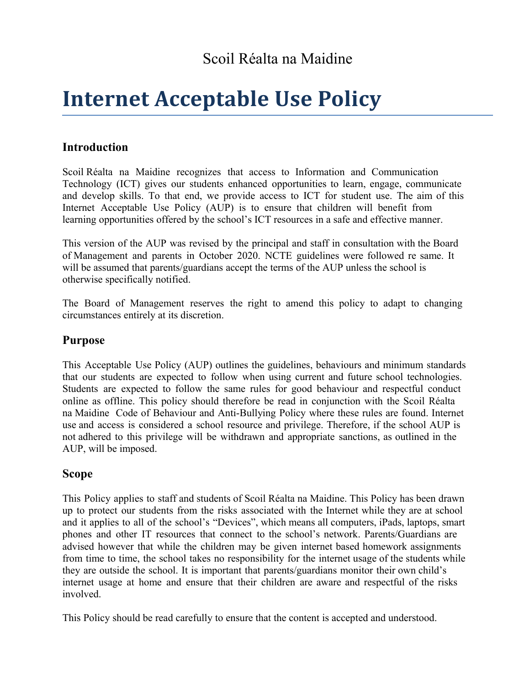# **Internet Acceptable Use Policy**

## **Introduction**

Scoil Réalta na Maidine recognizes that access to Information and Communication Technology (ICT) gives our students enhanced opportunities to learn, engage, communicate and develop skills. To that end, we provide access to ICT for student use. The aim of this Internet Acceptable Use Policy (AUP) is to ensure that children will benefit from learning opportunities offered by the school's ICT resources in a safe and effective manner.

This version of the AUP was revised by the principal and staff in consultation with the Board of Management and parents in October 2020. NCTE guidelines were followed re same. It will be assumed that parents/guardians accept the terms of the AUP unless the school is otherwise specifically notified.

The Board of Management reserves the right to amend this policy to adapt to changing circumstances entirely at its discretion.

#### **Purpose**

This Acceptable Use Policy (AUP) outlines the guidelines, behaviours and minimum standards that our students are expected to follow when using current and future school technologies. Students are expected to follow the same rules for good behaviour and respectful conduct online as offline. This policy should therefore be read in conjunction with the Scoil Réalta na Maidine Code of Behaviour and Anti-Bullying Policy where these rules are found. Internet use and access is considered a school resource and privilege. Therefore, if the school AUP is not adhered to this privilege will be withdrawn and appropriate sanctions, as outlined in the AUP, will be imposed.

#### **Scope**

This Policy applies to staff and students of Scoil Réalta na Maidine. This Policy has been drawn up to protect our students from the risks associated with the Internet while they are at school and it applies to all of the school's "Devices", which means all computers, iPads, laptops, smart phones and other IT resources that connect to the school's network. Parents/Guardians are advised however that while the children may be given internet based homework assignments from time to time, the school takes no responsibility for the internet usage of the students while they are outside the school. It is important that parents/guardians monitor their own child's internet usage at home and ensure that their children are aware and respectful of the risks involved.

This Policy should be read carefully to ensure that the content is accepted and understood.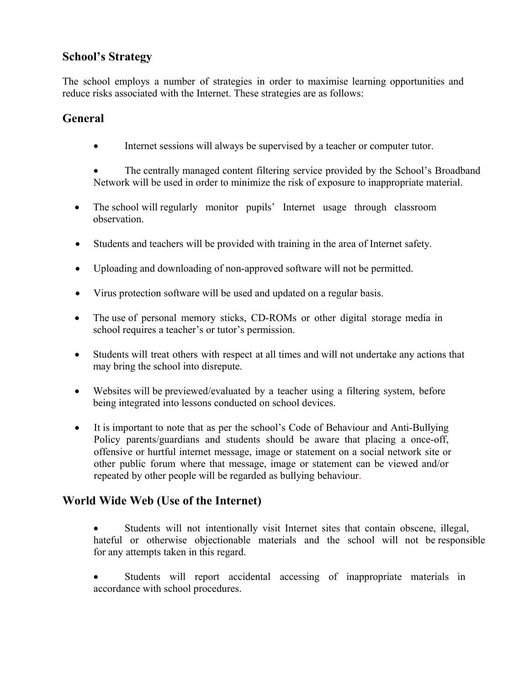## **School's Strategy**

The school employs a number of strategies in order to maximise learning opportunities and reduce risks associated with the Internet. These strategies are as follows:

## **General**

Internet sessions will always be supervised by a teacher or computer tutor.

 The centrally managed content filtering service provided by the School's Broadband Network will be used in order to minimize the risk of exposure to inappropriate material.

- The school will regularly monitor pupils' Internet usage through classroom observation.
- Students and teachers will be provided with training in the area of Internet safety.
- Uploading and downloading of non-approved software will not be permitted.
- Virus protection software will be used and updated on a regular basis.
- The use of personal memory sticks, CD-ROMs or other digital storage media in school requires a teacher's or tutor's permission.
- Students will treat others with respect at all times and will not undertake any actions that may bring the school into disrepute.
- Websites will be previewed/evaluated by a teacher using a filtering system, before being integrated into lessons conducted on school devices.
- It is important to note that as per the school's Code of Behaviour and Anti-Bullying Policy parents/guardians and students should be aware that placing a once-off, offensive or hurtful internet message, image or statement on a social network site or other public forum where that message, image or statement can be viewed and/or repeated by other people will be regarded as bullying behaviour.

#### **World Wide Web (Use of the Internet)**

- Students will not intentionally visit Internet sites that contain obscene, illegal, hateful or otherwise objectionable materials and the school will not be responsible for any attempts taken in this regard.
- Students will report accidental accessing of inappropriate materials in accordance with school procedures.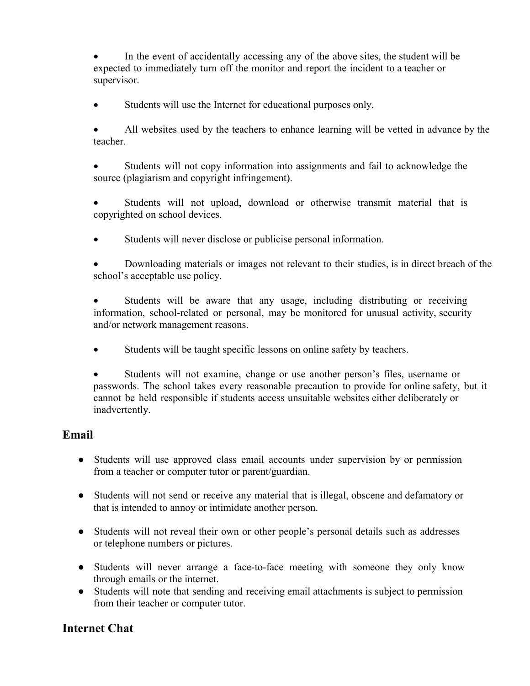In the event of accidentally accessing any of the above sites, the student will be expected to immediately turn off the monitor and report the incident to a teacher or supervisor.

Students will use the Internet for educational purposes only.

 All websites used by the teachers to enhance learning will be vetted in advance by the teacher.

 Students will not copy information into assignments and fail to acknowledge the source (plagiarism and copyright infringement).

 Students will not upload, download or otherwise transmit material that is copyrighted on school devices.

Students will never disclose or publicise personal information.

 Downloading materials or images not relevant to their studies, is in direct breach of the school's acceptable use policy.

 Students will be aware that any usage, including distributing or receiving information, school-related or personal, may be monitored for unusual activity, security and/or network management reasons.

Students will be taught specific lessons on online safety by teachers.

 Students will not examine, change or use another person's files, username or passwords. The school takes every reasonable precaution to provide for online safety, but it cannot be held responsible if students access unsuitable websites either deliberately or inadvertently.

## **Email**

- Students will use approved class email accounts under supervision by or permission from a teacher or computer tutor or parent/guardian.
- Students will not send or receive any material that is illegal, obscene and defamatory or that is intended to annoy or intimidate another person.
- Students will not reveal their own or other people's personal details such as addresses or telephone numbers or pictures.
- Students will never arrange a face-to-face meeting with someone they only know through emails or the internet.
- Students will note that sending and receiving email attachments is subject to permission from their teacher or computer tutor.

## **Internet Chat**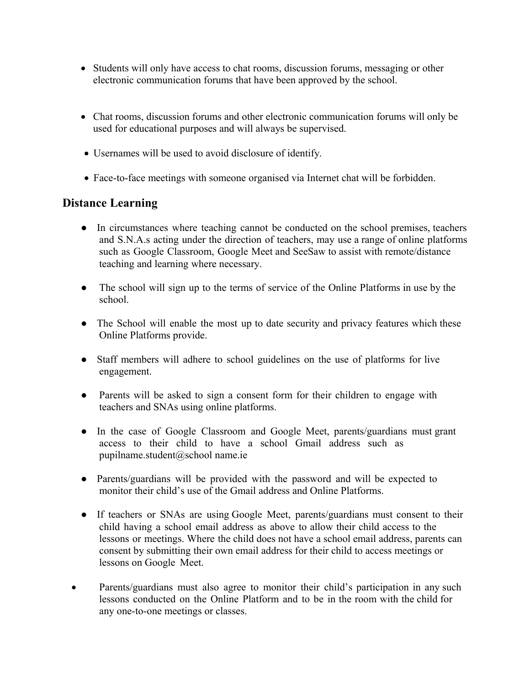- Students will only have access to chat rooms, discussion forums, messaging or other electronic communication forums that have been approved by the school.
- Chat rooms, discussion forums and other electronic communication forums will only be used for educational purposes and will always be supervised.
- Usernames will be used to avoid disclosure of identify.
- Face-to-face meetings with someone organised via Internet chat will be forbidden.

#### **Distance Learning**

- In circumstances where teaching cannot be conducted on the school premises, teachers and S.N.A.s acting under the direction of teachers, may use a range of online platforms such as Google Classroom, Google Meet and SeeSaw to assist with remote/distance teaching and learning where necessary.
- The school will sign up to the terms of service of the Online Platforms in use by the school.
- The School will enable the most up to date security and privacy features which these Online Platforms provide.
- Staff members will adhere to school guidelines on the use of platforms for live engagement.
- Parents will be asked to sign a consent form for their children to engage with teachers and SNAs using online platforms.
- In the case of Google Classroom and Google Meet, parents/guardians must grant access to their child to have a school Gmail address such as pupilname.student@school name.ie
- Parents/guardians will be provided with the password and will be expected to monitor their child's use of the Gmail address and Online Platforms.
- If teachers or SNAs are using Google Meet, parents/guardians must consent to their child having a school email address as above to allow their child access to the lessons or meetings. Where the child does not have a school email address, parents can consent by submitting their own email address for their child to access meetings or lessons on Google Meet.
- Parents/guardians must also agree to monitor their child's participation in any such lessons conducted on the Online Platform and to be in the room with the child for any one-to-one meetings or classes.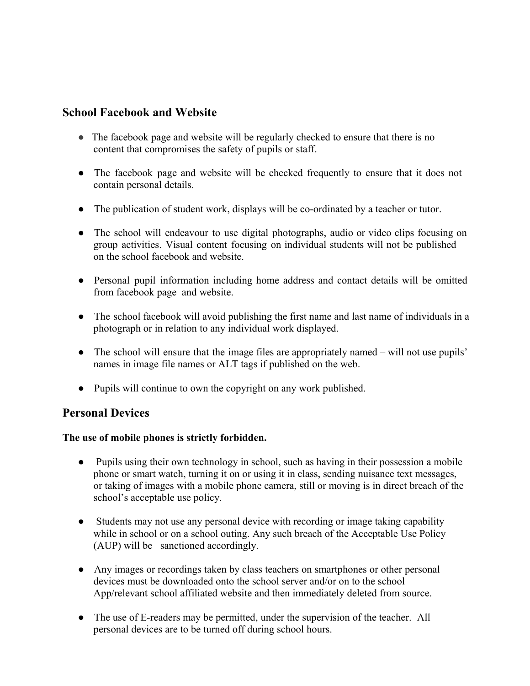#### **School Facebook and Website**

- The facebook page and website will be regularly checked to ensure that there is no content that compromises the safety of pupils or staff.
- The facebook page and website will be checked frequently to ensure that it does not contain personal details.
- The publication of student work, displays will be co-ordinated by a teacher or tutor.
- The school will endeavour to use digital photographs, audio or video clips focusing on group activities. Visual content focusing on individual students will not be published on the school facebook and website.
- Personal pupil information including home address and contact details will be omitted from facebook page and website.
- The school facebook will avoid publishing the first name and last name of individuals in a photograph or in relation to any individual work displayed.
- The school will ensure that the image files are appropriately named will not use pupils' names in image file names or ALT tags if published on the web.
- Pupils will continue to own the copyright on any work published.

#### **Personal Devices**

#### **The use of mobile phones is strictly forbidden.**

- Pupils using their own technology in school, such as having in their possession a mobile phone or smart watch, turning it on or using it in class, sending nuisance text messages, or taking of images with a mobile phone camera, still or moving is in direct breach of the school's acceptable use policy.
- Students may not use any personal device with recording or image taking capability while in school or on a school outing. Any such breach of the Acceptable Use Policy (AUP) will be sanctioned accordingly.
- Any images or recordings taken by class teachers on smartphones or other personal devices must be downloaded onto the school server and/or on to the school App/relevant school affiliated website and then immediately deleted from source.
- The use of E-readers may be permitted, under the supervision of the teacher. All personal devices are to be turned off during school hours.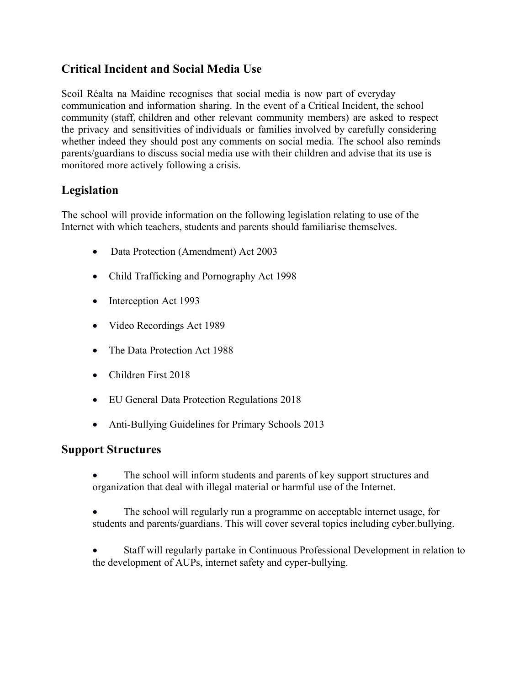## **Critical Incident and Social Media Use**

Scoil Réalta na Maidine recognises that social media is now part of everyday communication and information sharing. In the event of a Critical Incident, the school community (staff, children and other relevant community members) are asked to respect the privacy and sensitivities of individuals or families involved by carefully considering whether indeed they should post any comments on social media. The school also reminds parents/guardians to discuss social media use with their children and advise that its use is monitored more actively following a crisis.

## **Legislation**

The school will provide information on the following legislation relating to use of the Internet with which teachers, students and parents should familiarise themselves.

- Data Protection (Amendment) Act 2003
- Child Trafficking and Pornography Act 1998
- Interception Act 1993
- Video Recordings Act 1989
- The Data Protection Act 1988
- Children First 2018
- EU General Data Protection Regulations 2018
- Anti-Bullying Guidelines for Primary Schools 2013

#### **Support Structures**

- The school will inform students and parents of key support structures and organization that deal with illegal material or harmful use of the Internet.
- The school will regularly run a programme on acceptable internet usage, for students and parents/guardians. This will cover several topics including cyber.bullying.
- Staff will regularly partake in Continuous Professional Development in relation to the development of AUPs, internet safety and cyper-bullying.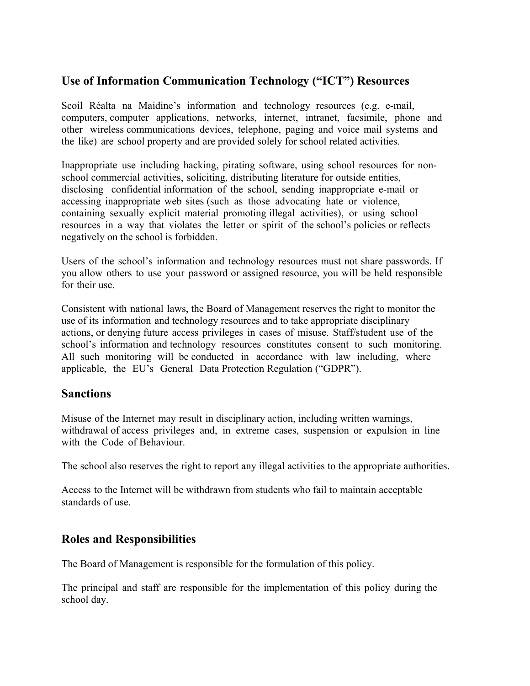### **Use of Information Communication Technology ("ICT") Resources**

Scoil Réalta na Maidine's information and technology resources (e.g. e-mail, computers, computer applications, networks, internet, intranet, facsimile, phone and other wireless communications devices, telephone, paging and voice mail systems and the like) are school property and are provided solely for school related activities.

Inappropriate use including hacking, pirating software, using school resources for nonschool commercial activities, soliciting, distributing literature for outside entities, disclosing confidential information of the school, sending inappropriate e-mail or accessing inappropriate web sites (such as those advocating hate or violence, containing sexually explicit material promoting illegal activities), or using school resources in a way that violates the letter or spirit of the school's policies or reflects negatively on the school is forbidden.

Users of the school's information and technology resources must not share passwords. If you allow others to use your password or assigned resource, you will be held responsible for their use.

Consistent with national laws, the Board of Management reserves the right to monitor the use of its information and technology resources and to take appropriate disciplinary actions, or denying future access privileges in cases of misuse. Staff/student use of the school's information and technology resources constitutes consent to such monitoring. All such monitoring will be conducted in accordance with law including, where applicable, the EU's General Data Protection Regulation ("GDPR").

#### **Sanctions**

Misuse of the Internet may result in disciplinary action, including written warnings, withdrawal of access privileges and, in extreme cases, suspension or expulsion in line with the Code of Behaviour.

The school also reserves the right to report any illegal activities to the appropriate authorities.

Access to the Internet will be withdrawn from students who fail to maintain acceptable standards of use.

#### **Roles and Responsibilities**

The Board of Management is responsible for the formulation of this policy.

The principal and staff are responsible for the implementation of this policy during the school day.